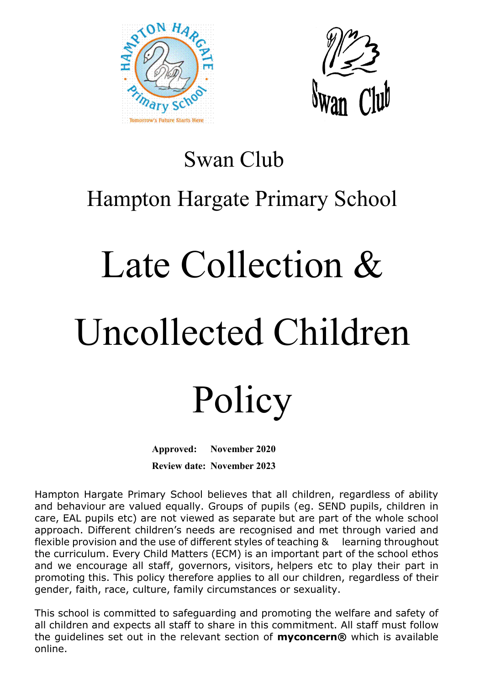



### Swan Club Hampton Hargate Primary School

# Late Collection & Uncollected Children

## Policy

**Approved: November 2020 Review date: November 2023**

Hampton Hargate Primary School believes that all children, regardless of ability and behaviour are valued equally. Groups of pupils (eg. SEND pupils, children in care, EAL pupils etc) are not viewed as separate but are part of the whole school approach. Different children's needs are recognised and met through varied and flexible provision and the use of different styles of teaching & learning throughout the curriculum. Every Child Matters (ECM) is an important part of the school ethos and we encourage all staff, governors, visitors, helpers etc to play their part in promoting this. This policy therefore applies to all our children, regardless of their gender, faith, race, culture, family circumstances or sexuality.

This school is committed to safeguarding and promoting the welfare and safety of all children and expects all staff to share in this commitment. All staff must follow the guidelines set out in the relevant section of **myconcern®** which is available online.